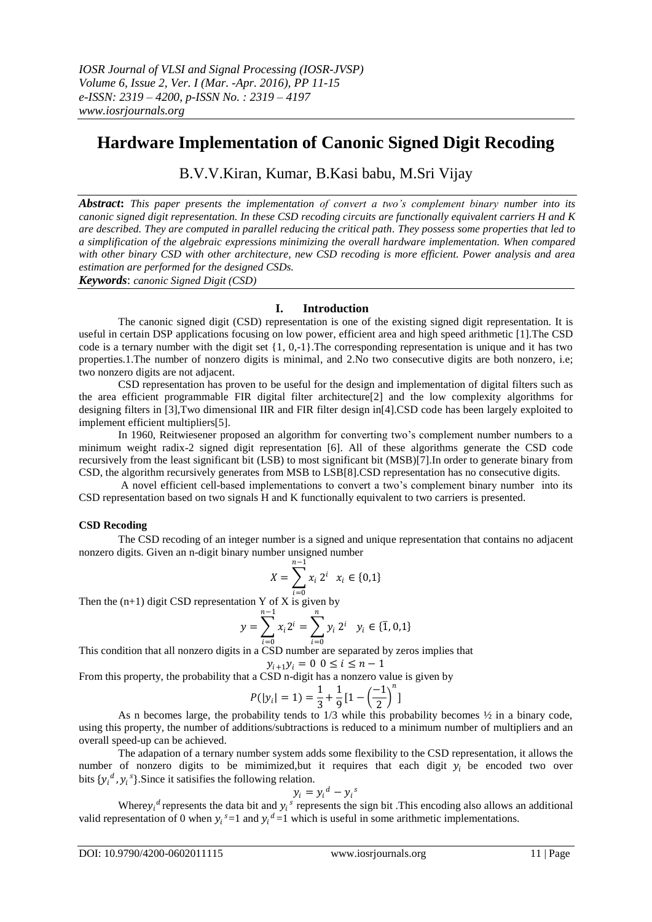# **Hardware Implementation of Canonic Signed Digit Recoding**

B.V.V.Kiran, Kumar, B.Kasi babu, M.Sri Vijay

*Abstract***:** *This paper presents the implementation of convert a two's complement binary number into its canonic signed digit representation. In these CSD recoding circuits are functionally equivalent carriers H and K are described. They are computed in parallel reducing the critical path. They possess some properties that led to a simplification of the algebraic expressions minimizing the overall hardware implementation. When compared with other binary CSD with other architecture, new CSD recoding is more efficient. Power analysis and area estimation are performed for the designed CSDs. Keywords*: *canonic Signed Digit (CSD)*

# **I. Introduction**

The canonic signed digit (CSD) representation is one of the existing signed digit representation. It is useful in certain DSP applications focusing on low power, efficient area and high speed arithmetic [1].The CSD code is a ternary number with the digit set  $\{1, 0, -1\}$ . The corresponding representation is unique and it has two properties.1.The number of nonzero digits is minimal, and 2.No two consecutive digits are both nonzero, i.e; two nonzero digits are not adjacent.

CSD representation has proven to be useful for the design and implementation of digital filters such as the area efficient programmable FIR digital filter architecture[2] and the low complexity algorithms for designing filters in [3],Two dimensional IIR and FIR filter design in[4].CSD code has been largely exploited to implement efficient multipliers[5].

In 1960, Reitwiesener proposed an algorithm for converting two's complement number numbers to a minimum weight radix-2 signed digit representation [6]. All of these algorithms generate the CSD code recursively from the least significant bit (LSB) to most significant bit (MSB)[7].In order to generate binary from CSD, the algorithm recursively generates from MSB to LSB[8].CSD representation has no consecutive digits.

 A novel efficient cell-based implementations to convert a two's complement binary number into its CSD representation based on two signals H and K functionally equivalent to two carriers is presented.

# **CSD Recoding**

The CSD recoding of an integer number is a signed and unique representation that contains no adjacent nonzero digits. Given an n-digit binary number unsigned number

$$
X = \sum_{i=0}^{n-1} x_i 2^i \ x_i \in \{0,1\}
$$

Then the  $(n+1)$  digit CSD representation Y of X is given by

$$
y = \sum_{i=0}^{n-1} x_i 2^i = \sum_{i=0}^{n} y_i 2^i \quad y_i \in \{\overline{1}, 0, 1\}
$$

This condition that all nonzero digits in a CSD number are separated by zeros implies that  $y_{i+1} y_i = 0 \ \ 0 \leq i \leq n-1$ 

From this property, the probability that a CSD n-digit has a nonzero value is given by

$$
P(|y_i|=1)=\frac{1}{3}+\frac{1}{9}[1-\left(\frac{-1}{2}\right)^n]
$$

As n becomes large, the probability tends to  $1/3$  while this probability becomes  $\frac{1}{2}$  in a binary code, using this property, the number of additions/subtractions is reduced to a minimum number of multipliers and an overall speed-up can be achieved.

The adapation of a ternary number system adds some flexibility to the CSD representation, it allows the number of nonzero digits to be mimimized, but it requires that each digit  $y_i$  be encoded two over bits  $\{y_i^d, y_i^s\}$ . Since it satisifies the following relation.

$$
y_i = y_i^d - y_i^s
$$

Where  $y_i^d$  represents the data bit and  $y_i^s$  represents the sign bit. This encoding also allows an additional valid representation of 0 when  $y_i^s = 1$  and  $y_i^d = 1$  which is useful in some arithmetic implementations.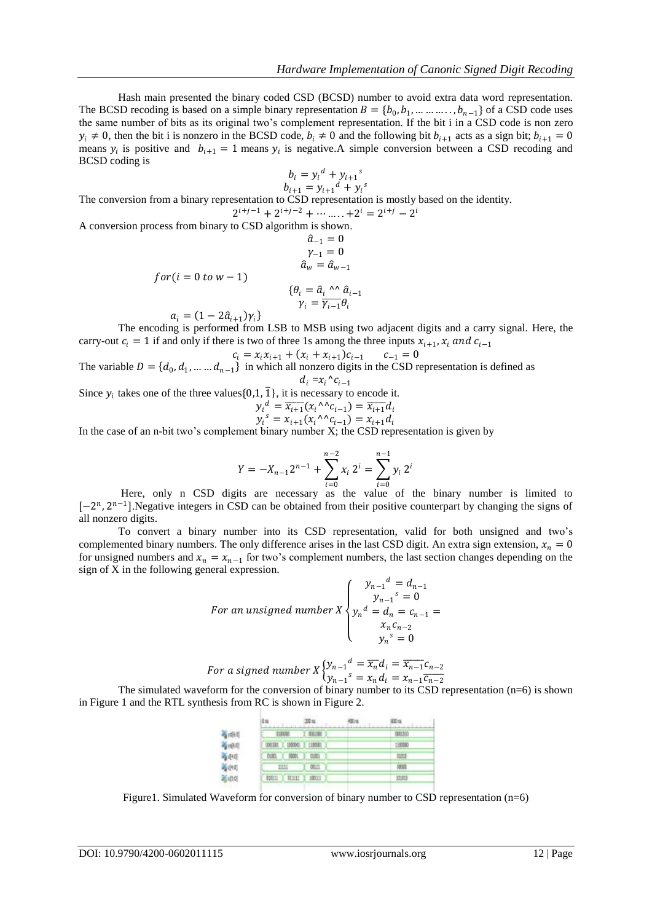Hash main presented the binary coded CSD (BCSD) number to avoid extra data word representation. The BCSD recoding is based on a simple binary representation  $B = \{b_0, b_1, \dots, b_{n-1}\}$  of a CSD code uses the same number of bits as its original two's complement representation. If the bit i in a CSD code is non zero  $y_i \neq 0$ , then the bit i is nonzero in the BCSD code,  $b_i \neq 0$  and the following bit  $b_{i+1}$  acts as a sign bit;  $b_{i+1} = 0$ means  $y_i$  is positive and  $b_{i+1} = 1$  means  $y_i$  is negative. A simple conversion between a CSD recoding and BCSD coding is

$$
b_i = y_i^d + y_{i+1}^s
$$
  

$$
b_{i+1} = y_{i+1}^d + y_i^s
$$

The conversion from a binary representation to CSD representation is mostly based on the identity.  $2^{i+j-1} + 2^{i+j-2} + \cdots + 2^i = 2^{i+j} - 2^i$ 

A conversion process from binary to CSD algorithm is shown.

$$
\hat{a}_{-1} = 0
$$
\n
$$
\hat{a}_{-1} = 0
$$
\n
$$
\hat{a}_{w} = \hat{a}_{w-1}
$$
\n
$$
\hat{a}_{w} = \hat{a}_{w-1}
$$
\n
$$
\{\theta_{i} = \hat{a}_{i} \land \hat{a}_{i-1}
$$
\n
$$
\gamma_{i} = \overline{\gamma_{i-1}} \theta_{i}
$$
\n
$$
\alpha_{i} = (1 - 2\hat{a}_{i+1})\gamma_{i}\}
$$

The encoding is performed from LSB to MSB using two adjacent digits and a carry signal. Here, the carry-out  $c_i = 1$  if and only if there is two of three 1s among the three inputs  $x_{i+1}$ ,  $x_i$  and  $c_{i-1}$ 

$$
c_i = x_i x_{i+1} + (x_i + x_{i+1}) c_{i-1} \qquad c_{-1} = 0
$$

The variable  $D = \{d_0, d_1, \dots, d_{n-1}\}\$ in which all nonzero digits in the CSD representation is defined as  $d_i = x_i \Delta c_{i-1}$ 

Since  $y_i$  takes one of the three values $\{0,1,\overline{1}\}$ , it is necessary to encode it.

$$
y_i^d = \overline{x_{i+1}}(x_i \wedge c_{i-1}) = \overline{x_{i+1}}d_i
$$
  

$$
y_i^s = x_{i+1}(x_i \wedge c_{i-1}) = x_{i+1}d_i
$$

In the case of an n-bit two's complement binary number X; the CSD representation is given by

$$
Y = -X_{n-1}2^{n-1} + \sum_{i=0}^{n-2} x_i 2^i = \sum_{i=0}^{n-1} y_i 2^i
$$

Here, only n CSD digits are necessary as the value of the binary number is limited to  $[-2<sup>n</sup>, 2<sup>n-1</sup>]$ . Negative integers in CSD can be obtained from their positive counterpart by changing the signs of all nonzero digits.

To convert a binary number into its CSD representation, valid for both unsigned and two's complemented binary numbers. The only difference arises in the last CSD digit. An extra sign extension,  $x_n = 0$ for unsigned numbers and  $x_n = x_{n-1}$  for two's complement numbers, the last section changes depending on the sign of  $\overline{X}$  in the following general expression.

For an unsigned number 
$$
X \begin{cases} y_{n-1}^d = d_{n-1} \\ y_{n-1}^s = 0 \\ y_n^d = d_n = c_{n-1} = \frac{x_n c_{n-2}}{y_n^s = 0} \end{cases}
$$

For a signed number 
$$
X \begin{cases} y_{n-1}^d = \overline{x_n} d_i = \overline{x_{n-1}} c_{n-2} \\ y_{n-1}^s = x_n d_i = x_{n-1} \overline{c_{n-2}} \end{cases}
$$

The simulated waveform for the conversion of binary number to its CSD representation  $(n=6)$  is shown in Figure 1 and the RTL synthesis from RC is shown in Figure 2.

|              |                              |          | $\frac{300\,\mathrm{m}}{200\,\mathrm{m}}$ $\frac{900\,\mathrm{m}}{200\,\mathrm{m}}$ $\frac{900\,\mathrm{m}}{200\,\mathrm{m}}$ |
|--------------|------------------------------|----------|-------------------------------------------------------------------------------------------------------------------------------|
| <b>GYBI</b>  | 212000 7 00000 3             |          | 0001300                                                                                                                       |
| <b>Gyeld</b> | 1001001 1 1000001 1100001    |          | $-1200000$                                                                                                                    |
| 解明           | 01001 1 00001 1 01001        |          | <b>EXIS</b>                                                                                                                   |
|              | 13511                        | $1$ SHII | 1000                                                                                                                          |
| 6:00         | <b>BRILL   RINIL   XXXII</b> |          | 如郡                                                                                                                            |

Figure1. Simulated Waveform for conversion of binary number to CSD representation (n=6)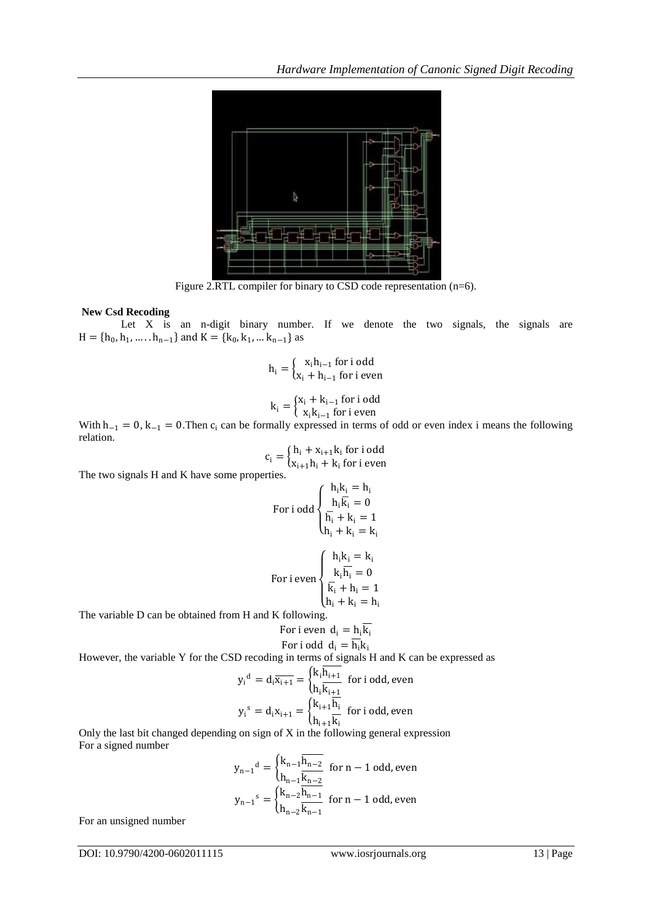

Figure 2.RTL compiler for binary to CSD code representation (n=6).

# **New Csd Recoding**

Let  $X$  is an n-digit binary number. If we denote the two signals, the signals are  $H = \{h_0, h_1, \dots, h_{n-1}\}\$  and  $K = \{k_0, k_1, \dots k_{n-1}\}\$  as

$$
h_i = \left\{ \begin{matrix} x_i h_{i-1} \text{ for } i \text{ odd} \\ x_i + h_{i-1} \text{ for } i \text{ even} \end{matrix} \right.
$$

$$
k_i = \left\{ \begin{matrix} x_i + k_{i-1} \text{ for } i \text{ odd} \\ x_i k_{i-1} \text{ for } i \text{ even} \end{matrix} \right.
$$

With  $h_{-1} = 0$ ,  $k_{-1} = 0$ . Then  $c_i$  can be formally expressed in terms of odd or even index i means the following relation.

$$
c_i = \begin{cases} h_i + x_{i+1}k_i \text{ for } i \text{ odd} \\ x_{i+1}h_i + k_i \text{ for } i \text{ even} \end{cases}
$$

The two signals H and K have some properties.

$$
\text{For i odd} \left\{ \begin{aligned} &\frac{h_i k_i = h_i}{h_i \overline{k}_i = 0} \\ &\frac{h_i \overline{k}_i = 0}{h_i + k_i = 1} \\ &\frac{h_i k_i = k_i}{k_i \overline{h}_i = 0} \end{aligned} \right.
$$
\n
$$
\text{For i even} \left\{ \begin{aligned} &\frac{h_i k_i = k_i}{k_i \overline{h}_i = 0} \\ &\frac{k_i \overline{h}_i + h_i = 1}{h_i + k_i = h_i} \end{aligned} \right.
$$

The variable D can be obtained from H and K following.

For i even 
$$
d_i = h_i \overline{k_i}
$$
  
For i odd  $d_i = \overline{h_i} k_i$ 

However, the variable Y for the CSD recoding in terms of signals H and K can be expressed as

$$
y_i^d = d_i \overline{x_{i+1}} = \begin{cases} k_i h_{i+1} \\ h_i \overline{k_{i+1}} \end{cases}
$$
 for i odd, even  

$$
y_i^s = d_i x_{i+1} = \begin{cases} k_{i+1} \overline{h_i} \\ h_{i+1} \overline{k_i} \end{cases}
$$
 for i odd, even

Only the last bit changed depending on sign of X in the following general expression For a signed number

$$
y_{n-1}^{d} = \begin{cases} k_{n-1} \overline{h_{n-2}} \\ h_{n-1} \overline{k_{n-2}} \end{cases} \text{ for } n-1 \text{ odd, even}
$$
  
\n
$$
y_{n-1}^{s} = \begin{cases} k_{n-2} \overline{h_{n-1}} \\ h_{n-2} \overline{k_{n-1}} \end{cases} \text{ for } n-1 \text{ odd, even}
$$

For an unsigned number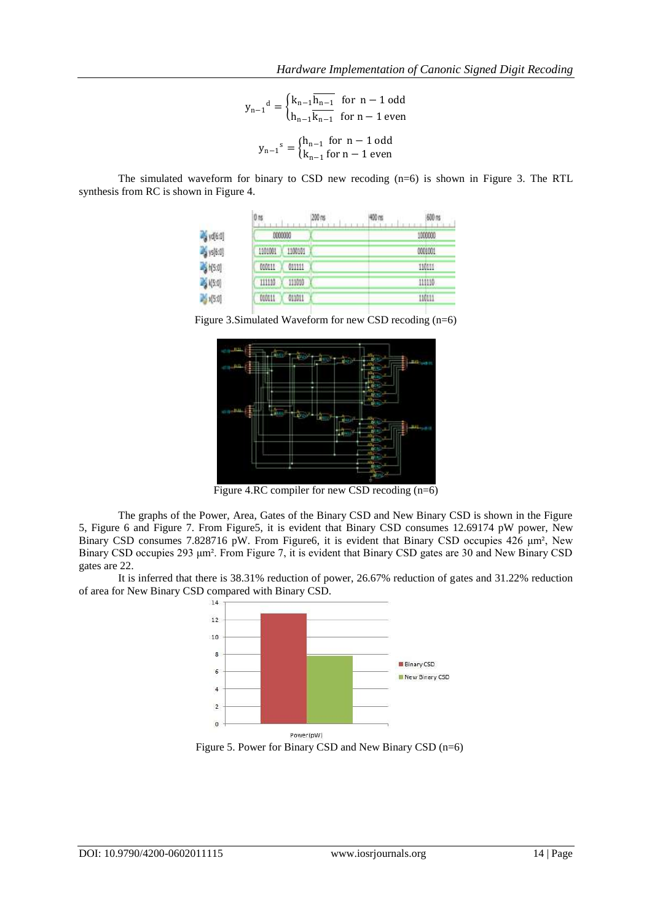$$
y_{n-1}^{d} = \begin{cases} k_{n-1} \overline{h_{n-1}} & \text{for } n-1 \text{ odd} \\ h_{n-1} \overline{k_{n-1}} & \text{for } n-1 \text{ even} \end{cases}
$$

$$
y_{n-1}^{s} = \begin{cases} h_{n-1} & \text{for } n-1 \text{ odd} \\ k_{n-1} & \text{for } n-1 \text{ even} \end{cases}
$$

The simulated waveform for binary to CSD new recoding (n=6) is shown in Figure 3. The RTL synthesis from RC is shown in Figure 4.

|                 |                        | 200 ns | $400 \text{ ns}$ |         |
|-----------------|------------------------|--------|------------------|---------|
| $\sqrt{q6.0}$   | 0000000                |        |                  | 100000  |
| s[60]           | 1100101<br>1001001     |        |                  | 0001001 |
| [5.1]           | <b>M1111</b><br>010111 |        |                  | 110111  |
| 26 4(5:0)       | 111010<br>111110       |        |                  | 111110  |
| <b>X</b> x[5:0] | 011011<br>010111       |        |                  | 110111  |

Figure 3.Simulated Waveform for new CSD recoding (n=6)



Figure 4.RC compiler for new CSD recoding  $(n=6)$ 

The graphs of the Power, Area, Gates of the Binary CSD and New Binary CSD is shown in the Figure 5, Figure 6 and Figure 7. From Figure5, it is evident that Binary CSD consumes 12.69174 pW power, New Binary CSD consumes 7.828716 pW. From Figure6, it is evident that Binary CSD occupies 426  $\mu$ m<sup>2</sup>, New Binary CSD occupies 293 μm². From Figure 7, it is evident that Binary CSD gates are 30 and New Binary CSD gates are 22.

It is inferred that there is 38.31% reduction of power, 26.67% reduction of gates and 31.22% reduction of area for New Binary CSD compared with Binary CSD.



Figure 5. Power for Binary CSD and New Binary CSD (n=6)